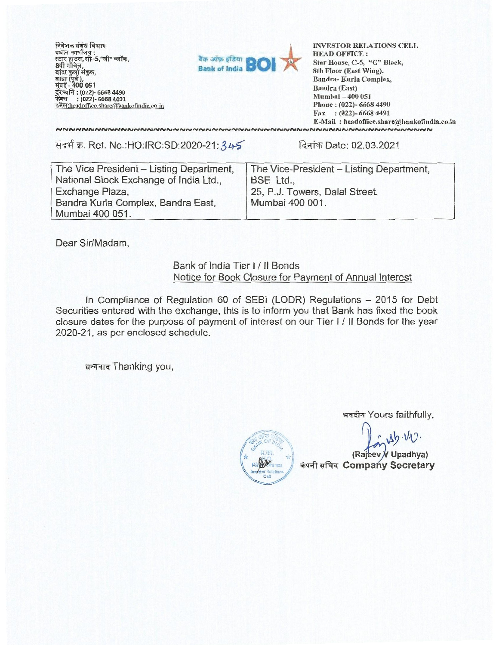निवेशक <mark>संबंध विभाग</mark><br>प्रधान कार्यालय : प्रधान कार्यालय :<br>स्टार हाउस, सी–5,"जी" ब्लॉक, i - **400 051 (022)- 6668 4490 : (022)- 6668 4491**  इमेल: headoffice.share@bankofindia.co.in



**INVESTOR RELATIONS CELL HEAD OFFICE : Star House, C-5, "G" Block, 8th Floor (East Wing), Sandra- Kurla Complex, Bandra (East) Mumbai — 400 051 Phone : (022)- 6668 4490 Fax : (022)- 6668 4491 E-Mail : headoffice.sharef&bankofindia.co.in** 

संदर्भ क्र. Ref. No.:HO.IRC:SD:2020-21: 34-5 दिनांक Date: 02.03.2021

NNNNNNNNNNNNNNNNNNNNNNNNNNNNN

| The Vice President - Listing Department, | The Vice-President - Listing Department, |  |  |
|------------------------------------------|------------------------------------------|--|--|
| National Stock Exchange of India Ltd.,   | BSE Ltd.,                                |  |  |
| Exchange Plaza,                          | 25, P.J. Towers, Dalal Street,           |  |  |
| Bandra Kurla Complex, Bandra East,       | Mumbai 400 001.                          |  |  |
| Mumbai 400 051.                          |                                          |  |  |

Dear Sir/Madam,

## Bank of India Tier I / II Bonds Notice for Book Closure for Payment of Annual Interest

In Compliance of Regulation 60 of SEBI (LODR) Regulations — 2015 for Debt Securities entered with the exchange, this is to inform you that Bank has fixed the book closure dates for the purpose of payment of interest on our Tier **1 / II** Bonds for the year 2020-21, as per enclosed schedule.

धन्यवाद Thanking you,

**13-4-41zr Yours faithfully,** 

 $A\cdot V_1$ . **(Rajeev V Upadhya)** 

**ch4 \*I RI Comp y Secretary** 

**Investor Relations** Cell